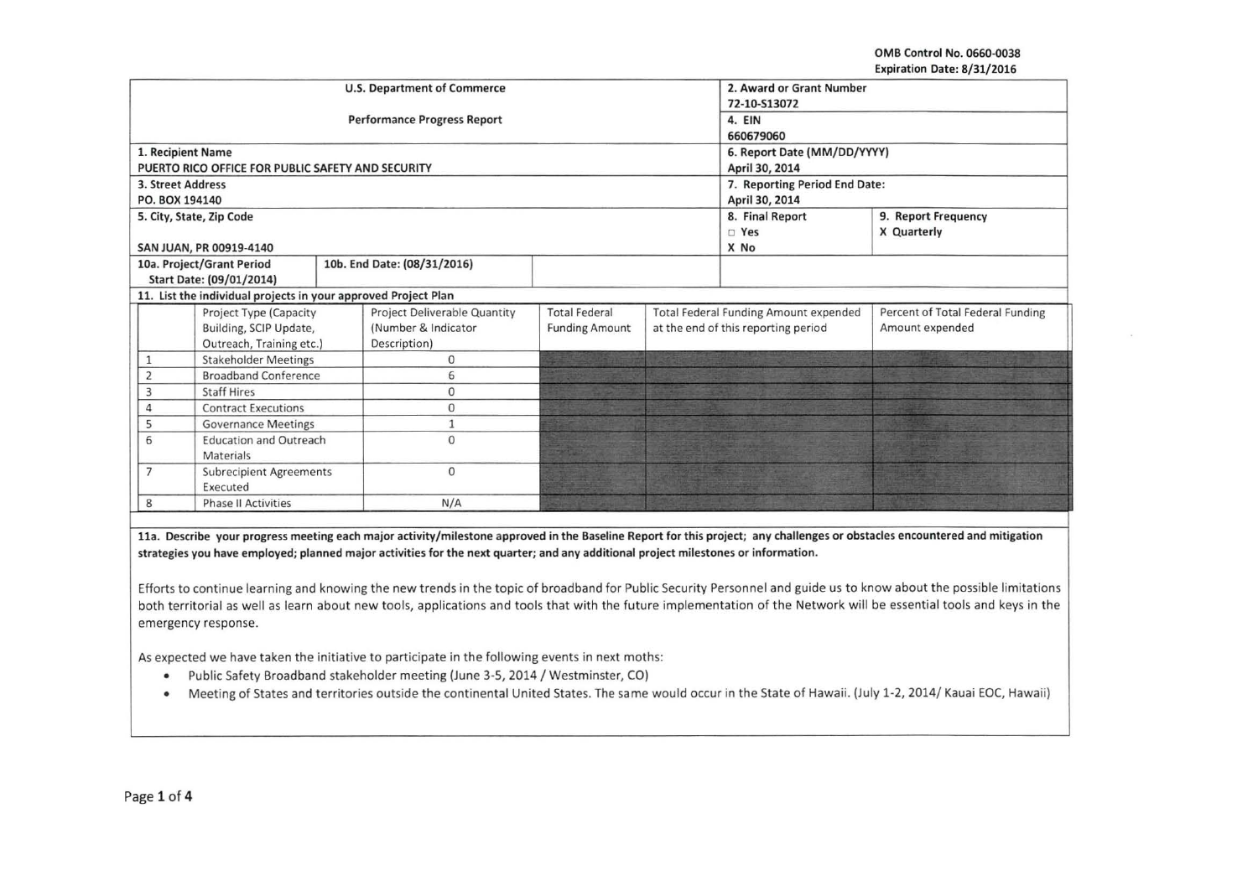OMB Control No. 0660-0038 Expiration Date: 8/31/2016

|                   |                                                                                            |  | <b>U.S. Department of Commerce</b>                                                                                                 |                                                 |  | 2. Award or Grant Number                                                            |                                                                                                                                                                            |  |  |
|-------------------|--------------------------------------------------------------------------------------------|--|------------------------------------------------------------------------------------------------------------------------------------|-------------------------------------------------|--|-------------------------------------------------------------------------------------|----------------------------------------------------------------------------------------------------------------------------------------------------------------------------|--|--|
|                   |                                                                                            |  |                                                                                                                                    | 72-10-S13072                                    |  |                                                                                     |                                                                                                                                                                            |  |  |
|                   |                                                                                            |  | <b>Performance Progress Report</b>                                                                                                 | 4. EIN                                          |  |                                                                                     |                                                                                                                                                                            |  |  |
|                   |                                                                                            |  |                                                                                                                                    | 660679060                                       |  |                                                                                     |                                                                                                                                                                            |  |  |
|                   | 1. Recipient Name                                                                          |  |                                                                                                                                    |                                                 |  |                                                                                     |                                                                                                                                                                            |  |  |
|                   | PUERTO RICO OFFICE FOR PUBLIC SAFETY AND SECURITY                                          |  |                                                                                                                                    | 6. Report Date (MM/DD/YYYY)                     |  |                                                                                     |                                                                                                                                                                            |  |  |
| 3. Street Address |                                                                                            |  |                                                                                                                                    | April 30, 2014                                  |  |                                                                                     |                                                                                                                                                                            |  |  |
| PO. BOX 194140    |                                                                                            |  |                                                                                                                                    | 7. Reporting Period End Date:<br>April 30, 2014 |  |                                                                                     |                                                                                                                                                                            |  |  |
|                   |                                                                                            |  |                                                                                                                                    |                                                 |  | 8. Final Report<br>9. Report Frequency                                              |                                                                                                                                                                            |  |  |
|                   | 5. City, State, Zip Code                                                                   |  |                                                                                                                                    |                                                 |  |                                                                                     |                                                                                                                                                                            |  |  |
|                   |                                                                                            |  |                                                                                                                                    |                                                 |  | $\Box$ Yes                                                                          | X Quarterly                                                                                                                                                                |  |  |
|                   | SAN JUAN, PR 00919-4140                                                                    |  |                                                                                                                                    |                                                 |  | X No                                                                                |                                                                                                                                                                            |  |  |
|                   | 10a. Project/Grant Period                                                                  |  | 10b. End Date: (08/31/2016)                                                                                                        |                                                 |  |                                                                                     |                                                                                                                                                                            |  |  |
|                   | Start Date: (09/01/2014)<br>11. List the individual projects in your approved Project Plan |  |                                                                                                                                    |                                                 |  |                                                                                     |                                                                                                                                                                            |  |  |
|                   | Percent of Total Federal Funding                                                           |  |                                                                                                                                    |                                                 |  |                                                                                     |                                                                                                                                                                            |  |  |
|                   | Project Type (Capacity                                                                     |  | Project Deliverable Quantity<br>(Number & Indicator                                                                                | <b>Total Federal</b>                            |  | <b>Total Federal Funding Amount expended</b><br>at the end of this reporting period | Amount expended                                                                                                                                                            |  |  |
|                   | Building, SCIP Update,                                                                     |  | Description)                                                                                                                       | <b>Funding Amount</b>                           |  |                                                                                     |                                                                                                                                                                            |  |  |
|                   | Outreach, Training etc.)                                                                   |  | $\mathbf 0$                                                                                                                        |                                                 |  |                                                                                     |                                                                                                                                                                            |  |  |
| $\mathbf{1}$      | <b>Stakeholder Meetings</b>                                                                |  |                                                                                                                                    |                                                 |  |                                                                                     |                                                                                                                                                                            |  |  |
| $\overline{2}$    | <b>Broadband Conference</b>                                                                |  | 6                                                                                                                                  |                                                 |  |                                                                                     |                                                                                                                                                                            |  |  |
| 3                 | <b>Staff Hires</b>                                                                         |  |                                                                                                                                    | 0                                               |  |                                                                                     |                                                                                                                                                                            |  |  |
| $\overline{4}$    | <b>Contract Executions</b>                                                                 |  | 0                                                                                                                                  |                                                 |  |                                                                                     |                                                                                                                                                                            |  |  |
| 5                 | <b>Governance Meetings</b>                                                                 |  | $\mathbf{1}$                                                                                                                       |                                                 |  |                                                                                     |                                                                                                                                                                            |  |  |
|                   | <b>Education and Outreach</b><br>6<br>Materials                                            |  | $\mathbf{0}$                                                                                                                       |                                                 |  |                                                                                     |                                                                                                                                                                            |  |  |
| $\overline{7}$    | <b>Subrecipient Agreements</b><br>Executed                                                 |  | $\Omega$                                                                                                                           |                                                 |  |                                                                                     |                                                                                                                                                                            |  |  |
| 8                 | <b>Phase II Activities</b>                                                                 |  | N/A                                                                                                                                |                                                 |  |                                                                                     |                                                                                                                                                                            |  |  |
|                   |                                                                                            |  |                                                                                                                                    |                                                 |  |                                                                                     |                                                                                                                                                                            |  |  |
|                   |                                                                                            |  |                                                                                                                                    |                                                 |  |                                                                                     | 11a. Describe your progress meeting each major activity/milestone approved in the Baseline Report for this project; any challenges or obstacles encountered and mitigation |  |  |
|                   |                                                                                            |  | strategies you have employed; planned major activities for the next quarter; and any additional project milestones or information. |                                                 |  |                                                                                     |                                                                                                                                                                            |  |  |
|                   |                                                                                            |  |                                                                                                                                    |                                                 |  |                                                                                     |                                                                                                                                                                            |  |  |
|                   |                                                                                            |  |                                                                                                                                    |                                                 |  |                                                                                     |                                                                                                                                                                            |  |  |

Efforts to continue learning and knowing the new trends in the topic of broadband for Public Security Personnel and guide us to know about the possible limitations both territorial as well as learn about new tools, applications and tools that with the future implementation of the Network will be essential tools and keys in the emergency response.

As expected we have taken the initiative to participate in the following events in next moths:

- Public Safety Broadband stakeholder meeting (June 3-5, 2014 / Westminster, CO)
- Meeting of States and territories outside the continental United States. The same would occur in the State of Hawaii. (July 1-2, 2014/ Kauai EOC, Hawaii)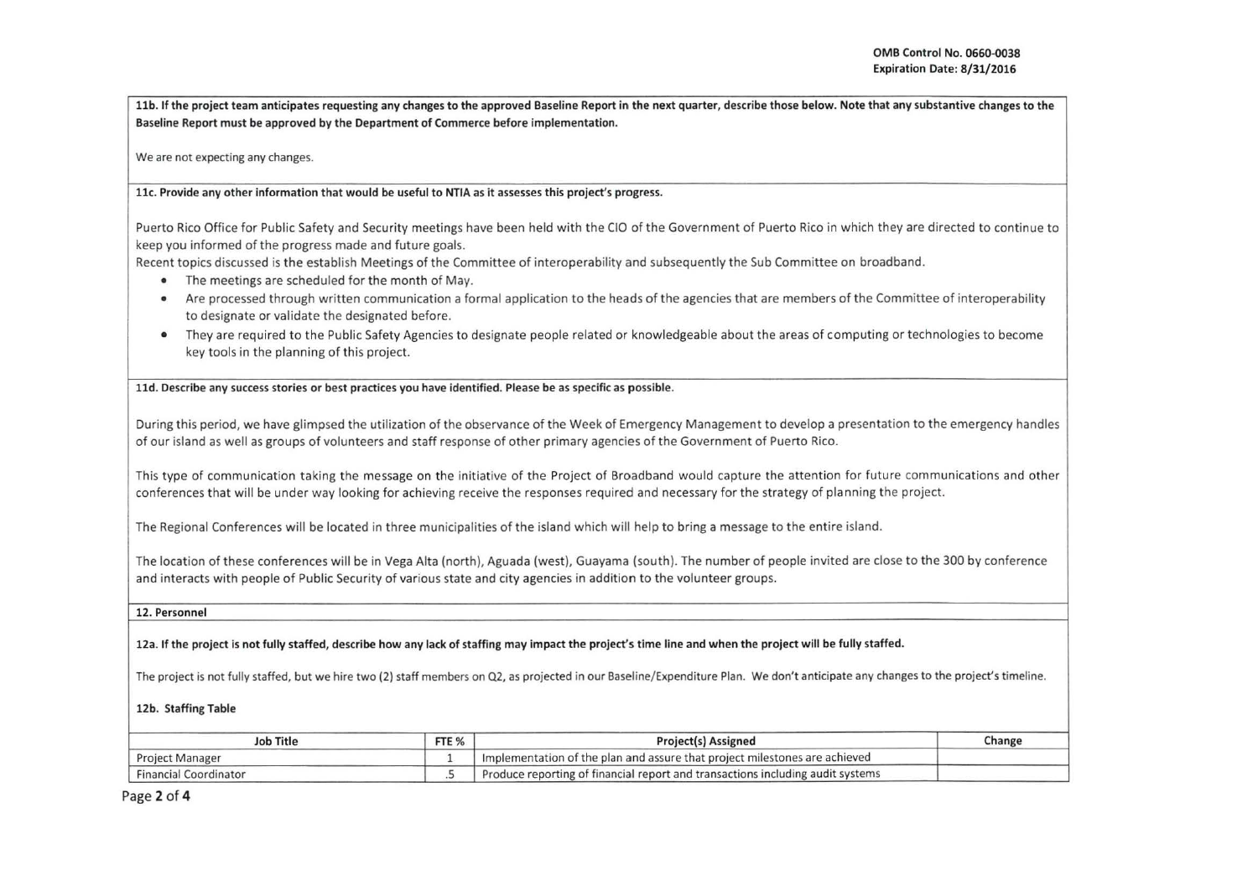llb. If the project team anticipates requesting any changes to the approved Baseline Report in the next quarter, describe those below. Note that any substantive changes to the Baseline Report must be approved by the Department of Commerce before implementation.

We are not expecting any changes.

llc. Provide any other information that would be useful to NTIA as it assesses this project's progress.

Puerto Rico Office for Public Safety and Security meetings have been held with the CIO of the Government of Puerto Rico in which they are directed to continue to keep you informed of the progress made and future goals.

Recent topics discussed is the establish Meetings of the Committee of interoperability and subsequently the Sub Committee on broadband.

- The meetings are scheduled for the month of May .
- Are processed through written communication a formal application to the heads of the agencies that are members of the Committee of interoperability to designate or validate the designated before.
- They are required to the Public Safety Agencies to designate people related or knowledgeable about the areas of computing or technologies to become key tools in the planning of this project.

lld. Describe any success stories or best practices you have identified. Please be as specific as possible.

During this period, we have glimpsed the utilization of the observance of the Week of Emergency Management to develop a presentation to the emergency handles of our island as well as groups of volunteers and staff response of other primary agencies of the Government of Puerto Rico.

This type of communication taking the message on the initiative of the Project of Broadband would capture the attention for future communications and other conferences that will be under way looking for achieving receive the responses required and necessary for the strategy of planning the project.

The Regional Conferences will be located in three municipalities of the island which will help to bring a message to the entire island.

The location of these conferences will be in Vega Alta (north), Aguada (west), Guayama (south). The number of people invited are close to the 300 by conference and interacts with people of Public Security of various state and city agencies in addition to the volunteer groups.

12. Personnel

12a. If the project is not fully staffed, describe how any lack of staffing may impact the project's time line and when the project will be fully staffed.

The project is not fully staffed, but we hire two (2) staff members on Q2, as projected in our Baseline/Expenditure Plan. We don't anticipate any changes to the project's timeline.

12b. Staffing Table

| <b>Job Title</b>             | FTE % | <b>Project(s) Assigned</b>                                                     | Change |
|------------------------------|-------|--------------------------------------------------------------------------------|--------|
| <b>Project Manager</b>       |       | Implementation of the plan and assure that project milestones are achieved     |        |
| <b>Financial Coordinator</b> |       | Produce reporting of financial report and transactions including audit systems |        |

Page 2 of 4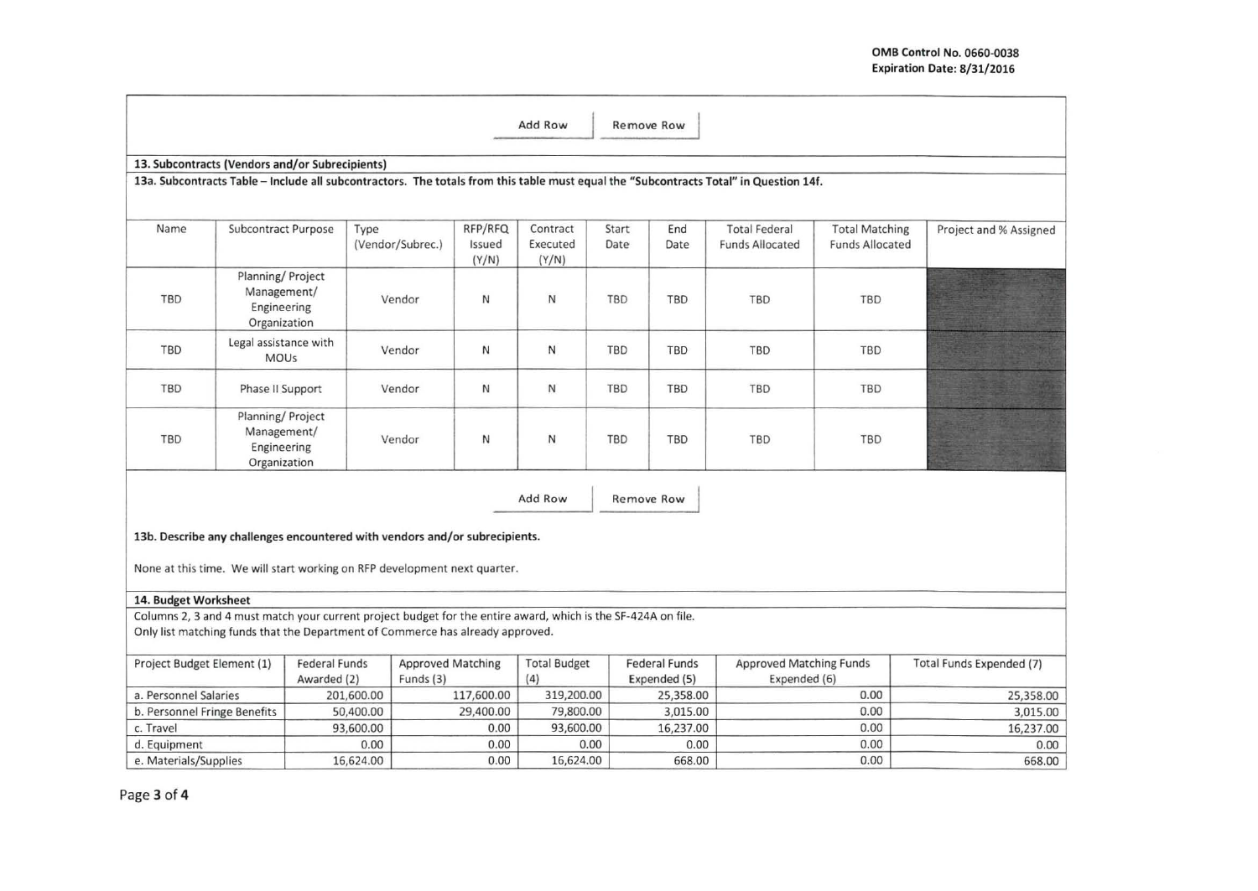| Add Row<br>Remove Row                                                                                                                 |                                                                 |                                                                                                               |                                       |                            |                               |               |                                      |                                                |                                                 |                                 |  |
|---------------------------------------------------------------------------------------------------------------------------------------|-----------------------------------------------------------------|---------------------------------------------------------------------------------------------------------------|---------------------------------------|----------------------------|-------------------------------|---------------|--------------------------------------|------------------------------------------------|-------------------------------------------------|---------------------------------|--|
|                                                                                                                                       | 13. Subcontracts (Vendors and/or Subrecipients)                 |                                                                                                               |                                       |                            |                               |               |                                      |                                                |                                                 |                                 |  |
| 13a. Subcontracts Table - Include all subcontractors. The totals from this table must equal the "Subcontracts Total" in Question 14f. |                                                                 |                                                                                                               |                                       |                            |                               |               |                                      |                                                |                                                 |                                 |  |
| Name                                                                                                                                  | Subcontract Purpose                                             | Type                                                                                                          | (Vendor/Subrec.)                      | RFP/RFQ<br>Issued<br>(Y/N) | Contract<br>Executed<br>(Y/N) | Start<br>Date | End<br>Date                          | <b>Total Federal</b><br><b>Funds Allocated</b> | <b>Total Matching</b><br><b>Funds Allocated</b> | Project and % Assigned          |  |
| TBD                                                                                                                                   | Planning/ Project<br>Management/<br>Engineering<br>Organization |                                                                                                               | Vendor                                | N                          | N                             | TBD           | TBD                                  | TBD                                            | TBD                                             |                                 |  |
| TBD                                                                                                                                   | Legal assistance with<br><b>MOUs</b>                            |                                                                                                               | Vendor                                | N                          | N                             | TBD           | TBD                                  | <b>TBD</b>                                     | TBD                                             |                                 |  |
| TBD                                                                                                                                   | Phase II Support                                                |                                                                                                               | Vendor                                | $\mathsf{N}$               | N                             | TBD           | TBD                                  | TBD                                            | <b>TBD</b>                                      |                                 |  |
| TBD                                                                                                                                   | Planning/ Project<br>Management/<br>Engineering<br>Organization |                                                                                                               | Vendor                                | N                          | N                             | TBD           | TBD                                  | TBD                                            | TBD                                             |                                 |  |
| Add Row<br>Remove Row                                                                                                                 |                                                                 |                                                                                                               |                                       |                            |                               |               |                                      |                                                |                                                 |                                 |  |
| 13b. Describe any challenges encountered with vendors and/or subrecipients.                                                           |                                                                 |                                                                                                               |                                       |                            |                               |               |                                      |                                                |                                                 |                                 |  |
| None at this time. We will start working on RFP development next quarter.                                                             |                                                                 |                                                                                                               |                                       |                            |                               |               |                                      |                                                |                                                 |                                 |  |
| 14. Budget Worksheet                                                                                                                  |                                                                 |                                                                                                               |                                       |                            |                               |               |                                      |                                                |                                                 |                                 |  |
|                                                                                                                                       |                                                                 | Columns 2, 3 and 4 must match your current project budget for the entire award, which is the SF-424A on file. |                                       |                            |                               |               |                                      |                                                |                                                 |                                 |  |
| Only list matching funds that the Department of Commerce has already approved.                                                        |                                                                 |                                                                                                               |                                       |                            |                               |               |                                      |                                                |                                                 |                                 |  |
| Project Budget Element (1)                                                                                                            |                                                                 | <b>Federal Funds</b><br>Awarded (2)                                                                           | <b>Approved Matching</b><br>Funds (3) |                            | <b>Total Budget</b><br>(4)    |               | <b>Federal Funds</b><br>Expended (5) | <b>Approved Matching Funds</b><br>Expended (6) |                                                 | <b>Total Funds Expended (7)</b> |  |
| a. Personnel Salaries                                                                                                                 |                                                                 | 201,600.00                                                                                                    |                                       | 117,600.00                 | 319,200.00                    |               | 25,358.00                            |                                                | 0.00                                            | 25,358.00                       |  |
| b. Personnel Fringe Benefits                                                                                                          |                                                                 | 50,400.00                                                                                                     |                                       | 29,400.00                  | 79,800.00                     |               | 3,015.00                             |                                                | 0.00                                            | 3,015.00                        |  |
| c. Travel                                                                                                                             |                                                                 | 93,600.00                                                                                                     |                                       | 0.00                       | 93,600.00                     |               | 16,237.00                            |                                                | 0.00                                            | 16,237.00                       |  |
| d. Equipment                                                                                                                          |                                                                 | 0.00                                                                                                          |                                       | 0.00                       | 0.00                          |               | 0.00                                 |                                                | 0.00                                            | 0.00                            |  |
| e. Materials/Supplies                                                                                                                 |                                                                 | 16,624.00                                                                                                     |                                       | 0.00                       | 16,624.00                     |               | 668.00                               |                                                | 0.00                                            | 668.00                          |  |

Page 3 of 4